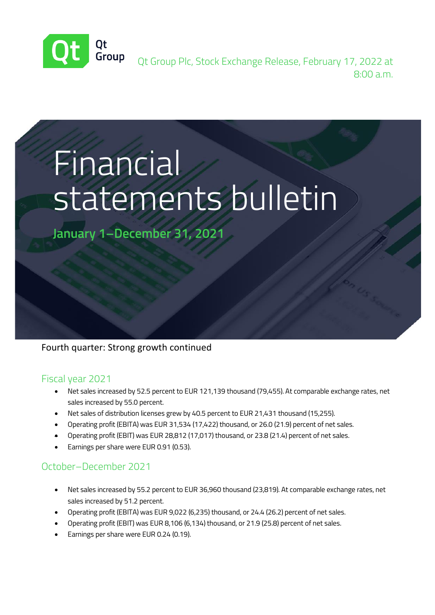

Qt Group Plc, Stock Exchange Release, February 17, 2022 at 8:00 a.m.

# **Financial** statements bulletin

**January 1–December 31, 2021**

## Fourth quarter: Strong growth continued

#### Fiscal year 2021

- Net sales increased by 52.5 percent to EUR 121,139 thousand (79,455). At comparable exchange rates, net sales increased by 55.0 percent.
- Net sales of distribution licenses grew by 40.5 percent to EUR 21,431 thousand (15,255).
- Operating profit (EBITA) was EUR 31,534 (17,422) thousand, or 26.0 (21.9) percent of net sales.
- Operating profit (EBIT) was EUR 28,812 (17,017) thousand, or 23.8 (21.4) percent of net sales.
- Earnings per share were EUR 0.91 (0.53).

## October–December 2021

- Net sales increased by 55.2 percent to EUR 36,960 thousand (23,819). At comparable exchange rates, net sales increased by 51.2 percent.
- Operating profit (EBITA) was EUR 9,022 (6,235) thousand, or 24.4 (26.2) percent of net sales.
- Operating profit (EBIT) was EUR 8,106 (6,134) thousand, or 21.9 (25.8) percent of net sales.
- Earnings per share were EUR 0.24 (0.19).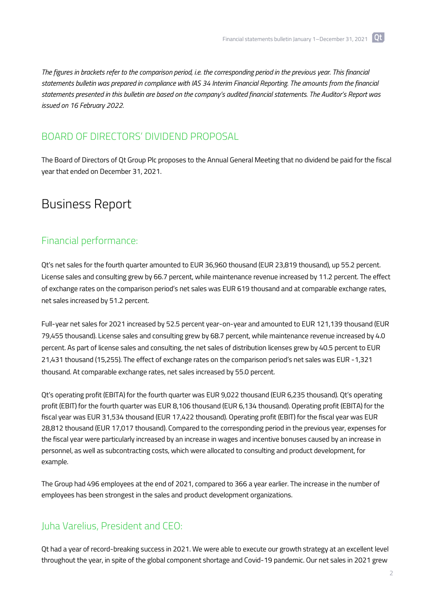*The figures in brackets refer to the comparison period, i.e. the corresponding period in the previous year. This financial statements bulletin was prepared in compliance with IAS 34 Interim Financial Reporting. The amounts from the financial statements presented in this bulletin are based on the company's audited financial statements. The Auditor's Report was issued on 16 February 2022.*

## BOARD OF DIRECTORS' DIVIDEND PROPOSAL

The Board of Directors of Qt Group Plc proposes to the Annual General Meeting that no dividend be paid for the fiscal year that ended on December 31, 2021.

# Business Report

#### Financial performance:

Qt's net sales for the fourth quarter amounted to EUR 36,960 thousand (EUR 23,819 thousand), up 55.2 percent. License sales and consulting grew by 66.7 percent, while maintenance revenue increased by 11.2 percent. The effect of exchange rates on the comparison period's net sales was EUR 619 thousand and at comparable exchange rates, net sales increased by 51.2 percent.

Full-year net sales for 2021 increased by 52.5 percent year-on-year and amounted to EUR 121,139 thousand (EUR 79,455 thousand). License sales and consulting grew by 68.7 percent, while maintenance revenue increased by 4.0 percent. As part of license sales and consulting, the net sales of distribution licenses grew by 40.5 percent to EUR 21,431 thousand (15,255). The effect of exchange rates on the comparison period's net sales was EUR -1,321 thousand. At comparable exchange rates, net sales increased by 55.0 percent.

Qt's operating profit (EBITA) for the fourth quarter was EUR 9,022 thousand (EUR 6,235 thousand). Qt's operating profit (EBIT) for the fourth quarter was EUR 8,106 thousand (EUR 6,134 thousand). Operating profit (EBITA) for the fiscal year was EUR 31,534 thousand (EUR 17,422 thousand). Operating profit (EBIT) for the fiscal year was EUR 28,812 thousand (EUR 17,017 thousand). Compared to the corresponding period in the previous year, expenses for the fiscal year were particularly increased by an increase in wages and incentive bonuses caused by an increase in personnel, as well as subcontracting costs, which were allocated to consulting and product development, for example.

The Group had 496 employees at the end of 2021, compared to 366 a year earlier. The increase in the number of employees has been strongest in the sales and product development organizations.

#### Juha Varelius, President and CEO:

Qt had a year of record-breaking success in 2021. We were able to execute our growth strategy at an excellent level throughout the year, in spite of the global component shortage and Covid-19 pandemic. Our net sales in 2021 grew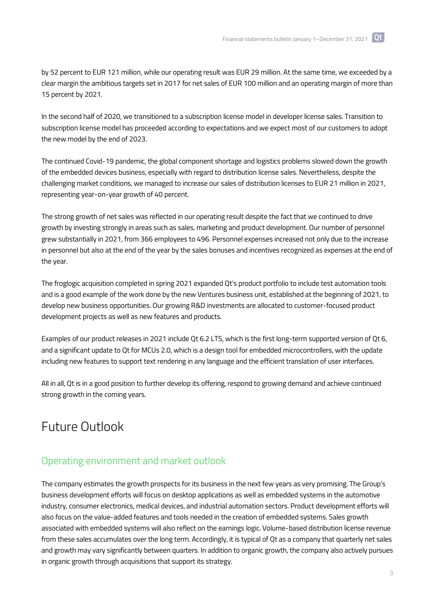by 52 percent to EUR 121 million, while our operating result was EUR 29 million. At the same time, we exceeded by a clear margin the ambitious targets set in 2017 for net sales of EUR 100 million and an operating margin of more than 15 percent by 2021.

In the second half of 2020, we transitioned to a subscription license model in developer license sales. Transition to subscription license model has proceeded according to expectations and we expect most of our customers to adopt the new model by the end of 2023.

The continued Covid-19 pandemic, the global component shortage and logistics problems slowed down the growth of the embedded devices business, especially with regard to distribution license sales. Nevertheless, despite the challenging market conditions, we managed to increase our sales of distribution licenses to EUR 21 million in 2021, representing year-on-year growth of 40 percent.

The strong growth of net sales was reflected in our operating result despite the fact that we continued to drive growth by investing strongly in areas such as sales, marketing and product development. Our number of personnel grew substantially in 2021, from 366 employees to 496. Personnel expenses increased not only due to the increase in personnel but also at the end of the year by the sales bonuses and incentives recognized as expenses at the end of the year.

The froglogic acquisition completed in spring 2021 expanded Qt's product portfolio to include test automation tools and is a good example of the work done by the new Ventures business unit, established at the beginning of 2021, to develop new business opportunities. Our growing R&D investments are allocated to customer-focused product development projects as well as new features and products.

Examples of our product releases in 2021 include Qt 6.2 LTS, which is the first long-term supported version of Qt 6, and a significant update to Qt for MCUs 2.0, which is a design tool for embedded microcontrollers, with the update including new features to support text rendering in any language and the efficient translation of user interfaces.

All in all, Qt is in a good position to further develop its offering, respond to growing demand and achieve continued strong growth in the coming years.

## Future Outlook

#### Operating environment and market outlook

The company estimates the growth prospects for its business in the next few years as very promising. The Group's business development efforts will focus on desktop applications as well as embedded systems in the automotive industry, consumer electronics, medical devices, and industrial automation sectors. Product development efforts will also focus on the value-added features and tools needed in the creation of embedded systems. Sales growth associated with embedded systems will also reflect on the earnings logic. Volume-based distribution license revenue from these sales accumulates over the long term. Accordingly, it is typical of Qt as a company that quarterly net sales and growth may vary significantly between quarters. In addition to organic growth, the company also actively pursues in organic growth through acquisitions that support its strategy.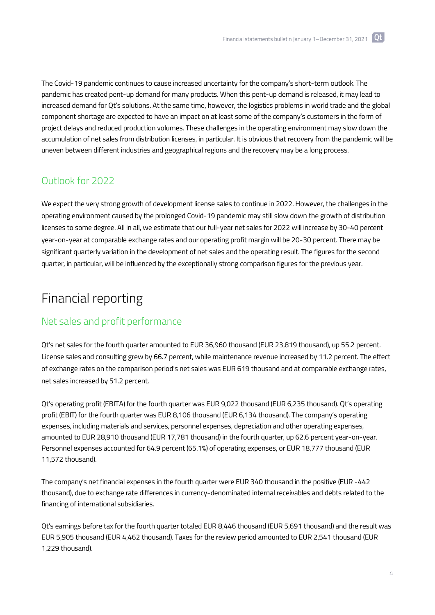The Covid-19 pandemic continues to cause increased uncertainty for the company's short-term outlook. The pandemic has created pent-up demand for many products. When this pent-up demand is released, it may lead to increased demand for Qt's solutions. At the same time, however, the logistics problems in world trade and the global component shortage are expected to have an impact on at least some of the company's customers in the form of project delays and reduced production volumes. These challenges in the operating environment may slow down the accumulation of net sales from distribution licenses, in particular. It is obvious that recovery from the pandemic will be uneven between different industries and geographical regions and the recovery may be a long process.

## Outlook for 2022

We expect the very strong growth of development license sales to continue in 2022. However, the challenges in the operating environment caused by the prolonged Covid-19 pandemic may still slow down the growth of distribution licenses to some degree. All in all, we estimate that our full-year net sales for 2022 will increase by 30-40 percent year-on-year at comparable exchange rates and our operating profit margin will be 20-30 percent. There may be significant quarterly variation in the development of net sales and the operating result. The figures for the second quarter, in particular, will be influenced by the exceptionally strong comparison figures for the previous year.

## Financial reporting

## Net sales and profit performance

Qt's net sales for the fourth quarter amounted to EUR 36,960 thousand (EUR 23,819 thousand), up 55.2 percent. License sales and consulting grew by 66.7 percent, while maintenance revenue increased by 11.2 percent. The effect of exchange rates on the comparison period's net sales was EUR 619 thousand and at comparable exchange rates, net sales increased by 51.2 percent.

Qt's operating profit (EBITA) for the fourth quarter was EUR 9,022 thousand (EUR 6,235 thousand). Qt's operating profit (EBIT) for the fourth quarter was EUR 8,106 thousand (EUR 6,134 thousand). The company's operating expenses, including materials and services, personnel expenses, depreciation and other operating expenses, amounted to EUR 28,910 thousand (EUR 17,781 thousand) in the fourth quarter, up 62.6 percent year-on-year. Personnel expenses accounted for 64.9 percent (65.1%) of operating expenses, or EUR 18,777 thousand (EUR 11,572 thousand).

The company's net financial expenses in the fourth quarter were EUR 340 thousand in the positive (EUR -442 thousand), due to exchange rate differences in currency-denominated internal receivables and debts related to the financing of international subsidiaries.

Qt's earnings before tax for the fourth quarter totaled EUR 8,446 thousand (EUR 5,691 thousand) and the result was EUR 5,905 thousand (EUR 4,462 thousand). Taxes for the review period amounted to EUR 2,541 thousand (EUR 1,229 thousand).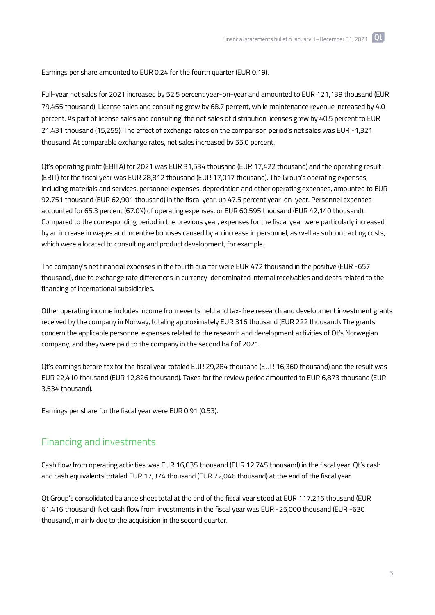Earnings per share amounted to EUR 0.24 for the fourth quarter (EUR 0.19).

Full-year net sales for 2021 increased by 52.5 percent year-on-year and amounted to EUR 121,139 thousand (EUR 79,455 thousand). License sales and consulting grew by 68.7 percent, while maintenance revenue increased by 4.0 percent. As part of license sales and consulting, the net sales of distribution licenses grew by 40.5 percent to EUR 21,431 thousand (15,255). The effect of exchange rates on the comparison period's net sales was EUR -1,321 thousand. At comparable exchange rates, net sales increased by 55.0 percent.

Qt's operating profit (EBITA) for 2021 was EUR 31,534 thousand (EUR 17,422 thousand) and the operating result (EBIT) for the fiscal year was EUR 28,812 thousand (EUR 17,017 thousand). The Group's operating expenses, including materials and services, personnel expenses, depreciation and other operating expenses, amounted to EUR 92,751 thousand (EUR 62,901 thousand) in the fiscal year, up 47.5 percent year-on-year. Personnel expenses accounted for 65.3 percent (67.0%) of operating expenses, or EUR 60,595 thousand (EUR 42,140 thousand). Compared to the corresponding period in the previous year, expenses for the fiscal year were particularly increased by an increase in wages and incentive bonuses caused by an increase in personnel, as well as subcontracting costs, which were allocated to consulting and product development, for example.

The company's net financial expenses in the fourth quarter were EUR 472 thousand in the positive (EUR -657 thousand), due to exchange rate differences in currency-denominated internal receivables and debts related to the financing of international subsidiaries.

Other operating income includes income from events held and tax-free research and development investment grants received by the company in Norway, totaling approximately EUR 316 thousand (EUR 222 thousand). The grants concern the applicable personnel expenses related to the research and development activities of Qt's Norwegian company, and they were paid to the company in the second half of 2021.

Qt's earnings before tax for the fiscal year totaled EUR 29,284 thousand (EUR 16,360 thousand) and the result was EUR 22,410 thousand (EUR 12,826 thousand). Taxes for the review period amounted to EUR 6,873 thousand (EUR 3,534 thousand).

Earnings per share for the fiscal year were EUR 0.91 (0.53).

#### Financing and investments

Cash flow from operating activities was EUR 16,035 thousand (EUR 12,745 thousand) in the fiscal year. Qt's cash and cash equivalents totaled EUR 17,374 thousand (EUR 22,046 thousand) at the end of the fiscal year.

Qt Group's consolidated balance sheet total at the end of the fiscal year stood at EUR 117,216 thousand (EUR 61,416 thousand). Net cash flow from investments in the fiscal year was EUR -25,000 thousand (EUR -630 thousand), mainly due to the acquisition in the second quarter.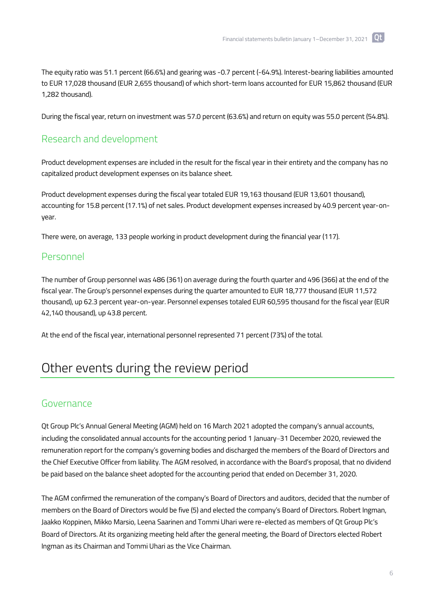The equity ratio was 51.1 percent (66.6%) and gearing was -0.7 percent (-64.9%). Interest-bearing liabilities amounted to EUR 17,028 thousand (EUR 2,655 thousand) of which short-term loans accounted for EUR 15,862 thousand (EUR 1,282 thousand).

During the fiscal year, return on investment was 57.0 percent (63.6%) and return on equity was 55.0 percent (54.8%).

#### Research and development

Product development expenses are included in the result for the fiscal year in their entirety and the company has no capitalized product development expenses on its balance sheet.

Product development expenses during the fiscal year totaled EUR 19,163 thousand (EUR 13,601 thousand), accounting for 15.8 percent (17.1%) of net sales. Product development expenses increased by 40.9 percent year-onyear.

There were, on average, 133 people working in product development during the financial year (117).

#### Personnel

The number of Group personnel was 486 (361) on average during the fourth quarter and 496 (366) at the end of the fiscal year. The Group's personnel expenses during the quarter amounted to EUR 18,777 thousand (EUR 11,572 thousand), up 62.3 percent year-on-year. Personnel expenses totaled EUR 60,595 thousand for the fiscal year (EUR 42,140 thousand), up 43.8 percent.

At the end of the fiscal year, international personnel represented 71 percent (73%) of the total.

## Other events during the review period

#### Governance

Qt Group Plc's Annual General Meeting (AGM) held on 16 March 2021 adopted the company's annual accounts, including the consolidated annual accounts for the accounting period 1 January–31 December 2020, reviewed the remuneration report for the company's governing bodies and discharged the members of the Board of Directors and the Chief Executive Officer from liability. The AGM resolved, in accordance with the Board's proposal, that no dividend be paid based on the balance sheet adopted for the accounting period that ended on December 31, 2020.

The AGM confirmed the remuneration of the company's Board of Directors and auditors, decided that the number of members on the Board of Directors would be five (5) and elected the company's Board of Directors. Robert Ingman, Jaakko Koppinen, Mikko Marsio, Leena Saarinen and Tommi Uhari were re-elected as members of Qt Group Plc's Board of Directors. At its organizing meeting held after the general meeting, the Board of Directors elected Robert Ingman as its Chairman and Tommi Uhari as the Vice Chairman.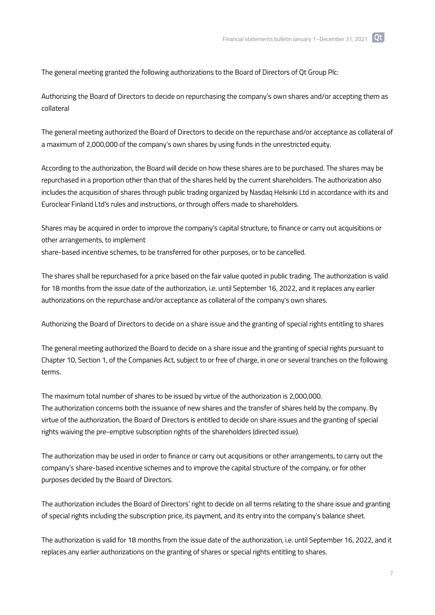The general meeting granted the following authorizations to the Board of Directors of Qt Group Plc:

Authorizing the Board of Directors to decide on repurchasing the company's own shares and/or accepting them as collateral

The general meeting authorized the Board of Directors to decide on the repurchase and/or acceptance as collateral of a maximum of 2,000,000 of the company's own shares by using funds in the unrestricted equity.

According to the authorization, the Board will decide on how these shares are to be purchased. The shares may be repurchased in a proportion other than that of the shares held by the current shareholders. The authorization also includes the acquisition of shares through public trading organized by Nasdaq Helsinki Ltd in accordance with its and Euroclear Finland Ltd's rules and instructions, or through offers made to shareholders.

Shares may be acquired in order to improve the company's capital structure, to finance or carry out acquisitions or other arrangements, to implement share-based incentive schemes, to be transferred for other purposes, or to be cancelled.

The shares shall be repurchased for a price based on the fair value quoted in public trading. The authorization is valid for 18 months from the issue date of the authorization, i.e. until September 16, 2022, and it replaces any earlier authorizations on the repurchase and/or acceptance as collateral of the company's own shares.

Authorizing the Board of Directors to decide on a share issue and the granting of special rights entitling to shares

The general meeting authorized the Board to decide on a share issue and the granting of special rights pursuant to Chapter 10, Section 1, of the Companies Act, subject to or free of charge, in one or several tranches on the following terms.

The maximum total number of shares to be issued by virtue of the authorization is 2,000,000. The authorization concerns both the issuance of new shares and the transfer of shares held by the company. By virtue of the authorization, the Board of Directors is entitled to decide on share issues and the granting of special rights waiving the pre-emptive subscription rights of the shareholders (directed issue).

The authorization may be used in order to finance or carry out acquisitions or other arrangements, to carry out the company's share-based incentive schemes and to improve the capital structure of the company, or for other purposes decided by the Board of Directors.

The authorization includes the Board of Directors' right to decide on all terms relating to the share issue and granting of special rights including the subscription price, its payment, and its entry into the company's balance sheet.

The authorization is valid for 18 months from the issue date of the authorization, i.e. until September 16, 2022, and it replaces any earlier authorizations on the granting of shares or special rights entitling to shares.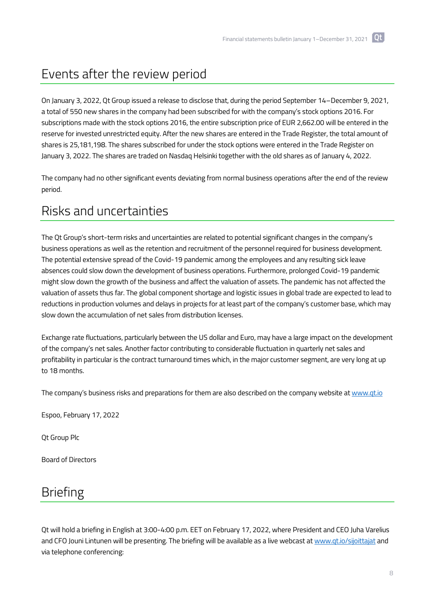# Events after the review period

On January 3, 2022, Qt Group issued a release to disclose that, during the period September 14–December 9, 2021, a total of 550 new shares in the company had been subscribed for with the company's stock options 2016. For subscriptions made with the stock options 2016, the entire subscription price of EUR 2,662.00 will be entered in the reserve for invested unrestricted equity. After the new shares are entered in the Trade Register, the total amount of shares is 25,181,198. The shares subscribed for under the stock options were entered in the Trade Register on January 3, 2022. The shares are traded on Nasdaq Helsinki together with the old shares as of January 4, 2022.

The company had no other significant events deviating from normal business operations after the end of the review period.

# Risks and uncertainties

The Qt Group's short-term risks and uncertainties are related to potential significant changes in the company's business operations as well as the retention and recruitment of the personnel required for business development. The potential extensive spread of the Covid-19 pandemic among the employees and any resulting sick leave absences could slow down the development of business operations. Furthermore, prolonged Covid-19 pandemic might slow down the growth of the business and affect the valuation of assets. The pandemic has not affected the valuation of assets thus far. The global component shortage and logistic issues in global trade are expected to lead to reductions in production volumes and delays in projects for at least part of the company's customer base, which may slow down the accumulation of net sales from distribution licenses.

Exchange rate fluctuations, particularly between the US dollar and Euro, may have a large impact on the development of the company's net sales. Another factor contributing to considerable fluctuation in quarterly net sales and profitability in particular is the contract turnaround times which, in the major customer segment, are very long at up to 18 months.

The company's business risks and preparations for them are also described on the company website a[t www.qt.io](http://www.qt.io/)

Espoo, February 17, 2022

Qt Group Plc

Board of Directors

## Briefing

Qt will hold a briefing in English at 3:00-4:00 p.m. EET on February 17, 2022, where President and CEO Juha Varelius and CFO Jouni Lintunen will be presenting. The briefing will be available as a live webcast a[t www.qt.io/sijoittajat](http://www.qt.io/sijoittajat) and via telephone conferencing: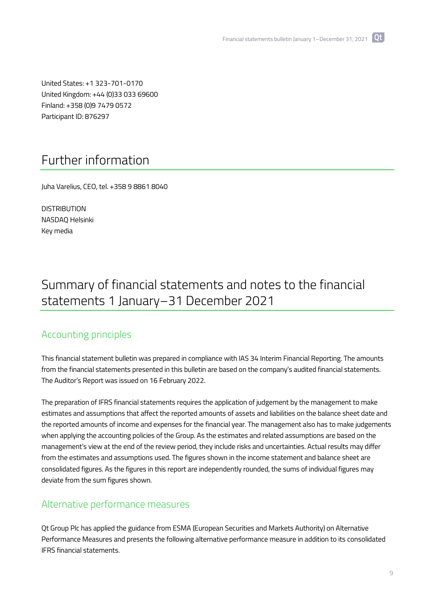**Tot** 

United States: +1 323-701-0170 United Kingdom: +44 (0)33 033 69600 Finland: +358 (0)9 7479 0572 Participant ID: 876297

## Further information

Juha Varelius, CEO, tel. +358 9 8861 8040

**DISTRIBUTION** NASDAQ Helsinki Key media

# Summary of financial statements and notes to the financial statements 1 January–31 December 2021

#### Accounting principles

This financial statement bulletin was prepared in compliance with IAS 34 Interim Financial Reporting. The amounts from the financial statements presented in this bulletin are based on the company's audited financial statements. The Auditor's Report was issued on 16 February 2022.

The preparation of IFRS financial statements requires the application of judgement by the management to make estimates and assumptions that affect the reported amounts of assets and liabilities on the balance sheet date and the reported amounts of income and expenses for the financial year. The management also has to make judgements when applying the accounting policies of the Group. As the estimates and related assumptions are based on the management's view at the end of the review period, they include risks and uncertainties. Actual results may differ from the estimates and assumptions used. The figures shown in the income statement and balance sheet are consolidated figures. As the figures in this report are independently rounded, the sums of individual figures may deviate from the sum figures shown.

#### Alternative performance measures

Qt Group Plc has applied the guidance from ESMA (European Securities and Markets Authority) on Alternative Performance Measures and presents the following alternative performance measure in addition to its consolidated IFRS financial statements.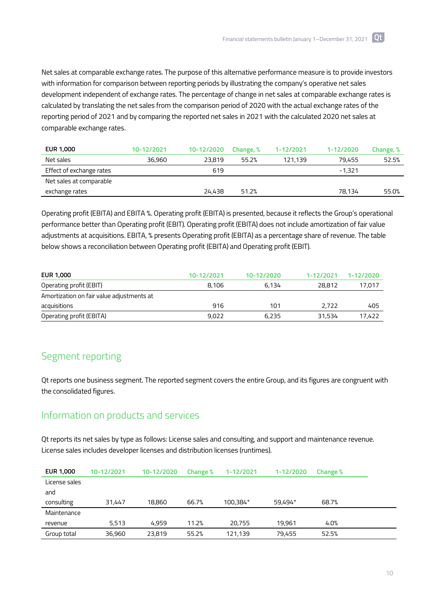Net sales at comparable exchange rates. The purpose of this alternative performance measure is to provide investors with information for comparison between reporting periods by illustrating the company's operative net sales development independent of exchange rates. The percentage of change in net sales at comparable exchange rates is calculated by translating the net sales from the comparison period of 2020 with the actual exchange rates of the reporting period of 2021 and by comparing the reported net sales in 2021 with the calculated 2020 net sales at comparable exchange rates.

| EUR 1,000                | 10-12/2021 | 10-12/2020 | Change, % | 1-12/2021 | 1-12/2020 | Change, % |
|--------------------------|------------|------------|-----------|-----------|-----------|-----------|
| Net sales                | 36,960     | 23,819     | 55.2%     | 121,139   | 79.455    | 52.5%     |
| Effect of exchange rates |            | 619        |           |           | $-1.321$  |           |
| Net sales at comparable  |            |            |           |           |           |           |
| exchange rates           |            | 24,438     | 51.2%     |           | 78.134    | 55.0%     |

Operating profit (EBITA) and EBITA %. Operating profit (EBITA) is presented, because it reflects the Group's operational performance better than Operating profit (EBIT). Operating profit (EBITA) does not include amortization of fair value adjustments at acquisitions. EBITA, % presents Operating profit (EBITA) as a percentage share of revenue. The table below shows a reconciliation between Operating profit (EBITA) and Operating profit (EBIT).

| EUR 1,000                                 | 10-12/2021 | 10-12/2020 | 1-12/2021 | 1-12/2020 |
|-------------------------------------------|------------|------------|-----------|-----------|
| Operating profit (EBIT)                   | 8.106      | 6.134      | 28,812    | 17,017    |
| Amortization on fair value adjustments at |            |            |           |           |
| acquisitions                              | 916        | 101        | 2.722     | 405       |
| <b>Operating profit (EBITA)</b>           | 9,022      | 6.235      | 31,534    | 17,422    |

## Segment reporting

Qt reports one business segment. The reported segment covers the entire Group, and its figures are congruent with the consolidated figures.

#### Information on products and services

Qt reports its net sales by type as follows: License sales and consulting, and support and maintenance revenue. License sales includes developer licenses and distribution licenses (runtimes).

| <b>EUR 1,000</b> | 10-12/2021 | 10-12/2020 | Change % | 1-12/2021 | 1-12/2020 | Change % |  |
|------------------|------------|------------|----------|-----------|-----------|----------|--|
| License sales    |            |            |          |           |           |          |  |
| and              |            |            |          |           |           |          |  |
| consulting       | 31.447     | 18,860     | 66.7%    | 100,384*  | 59,494*   | 68.7%    |  |
| Maintenance      |            |            |          |           |           |          |  |
| revenue          | 5.513      | 4,959      | 11.2%    | 20.755    | 19,961    | 4.0%     |  |
| Group total      | 36,960     | 23,819     | 55.2%    | 121,139   | 79,455    | 52.5%    |  |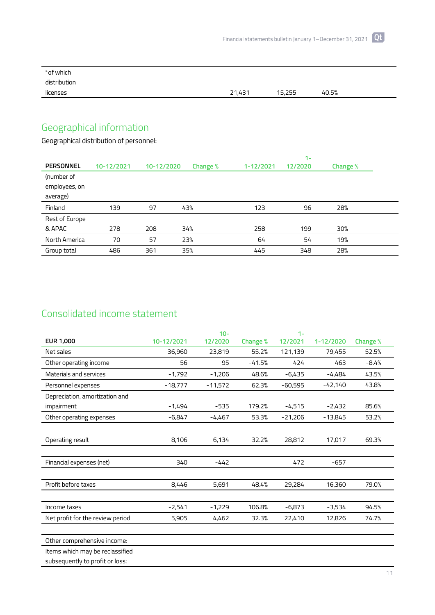| *of which    |        |        |       |  |
|--------------|--------|--------|-------|--|
| distribution |        |        |       |  |
| licenses     | 21,431 | 15,255 | 40.5% |  |

# Geographical information

Geographical distribution of personnel:

|                  |            |            |          |           | $1 -$   |          |  |
|------------------|------------|------------|----------|-----------|---------|----------|--|
| <b>PERSONNEL</b> | 10-12/2021 | 10-12/2020 | Change % | 1-12/2021 | 12/2020 | Change % |  |
| (number of       |            |            |          |           |         |          |  |
| employees, on    |            |            |          |           |         |          |  |
| average)         |            |            |          |           |         |          |  |
| Finland          | 139        | 97         | 43%      | 123       | 96      | 28%      |  |
| Rest of Europe   |            |            |          |           |         |          |  |
| & APAC           | 278        | 208        | 34%      | 258       | 199     | 30%      |  |
| North America    | 70         | 57         | 23%      | 64        | 54      | 19%      |  |
| Group total      | 486        | 361        | 35%      | 445       | 348     | 28%      |  |

## Consolidated income statement

|                                  |            | $10 -$    |          | $1 -$     |           |          |
|----------------------------------|------------|-----------|----------|-----------|-----------|----------|
| <b>EUR 1,000</b>                 | 10-12/2021 | 12/2020   | Change % | 12/2021   | 1-12/2020 | Change % |
| Net sales                        | 36,960     | 23,819    | 55.2%    | 121,139   | 79,455    | 52.5%    |
| Other operating income           | 56         | 95        | $-41.5%$ | 424       | 463       | $-8.4%$  |
| Materials and services           | $-1,792$   | $-1,206$  | 48.6%    | $-6,435$  | -4,484    | 43.5%    |
| Personnel expenses               | $-18,777$  | $-11,572$ | 62.3%    | $-60,595$ | $-42,140$ | 43.8%    |
| Depreciation, amortization and   |            |           |          |           |           |          |
| impairment                       | $-1,494$   | $-535$    | 179.2%   | $-4,515$  | $-2,432$  | 85.6%    |
| Other operating expenses         | $-6,847$   | $-4,467$  | 53.3%    | $-21,206$ | $-13,845$ | 53.2%    |
|                                  |            |           |          |           |           |          |
| Operating result                 | 8,106      | 6,134     | 32.2%    | 28,812    | 17,017    | 69.3%    |
|                                  |            |           |          |           |           |          |
| Financial expenses (net)         | 340        | $-442$    |          | 472       | $-657$    |          |
|                                  |            |           |          |           |           |          |
| Profit before taxes              | 8,446      | 5,691     | 48.4%    | 29,284    | 16,360    | 79.0%    |
|                                  |            |           |          |           |           |          |
| Income taxes                     | $-2,541$   | $-1,229$  | 106.8%   | $-6,873$  | -3,534    | 94.5%    |
| Net profit for the review period | 5,905      | 4,462     | 32.3%    | 22,410    | 12,826    | 74.7%    |
|                                  |            |           |          |           |           |          |
| Other comprehensive income:      |            |           |          |           |           |          |
| Items which may be reclassified  |            |           |          |           |           |          |

subsequently to profit or loss: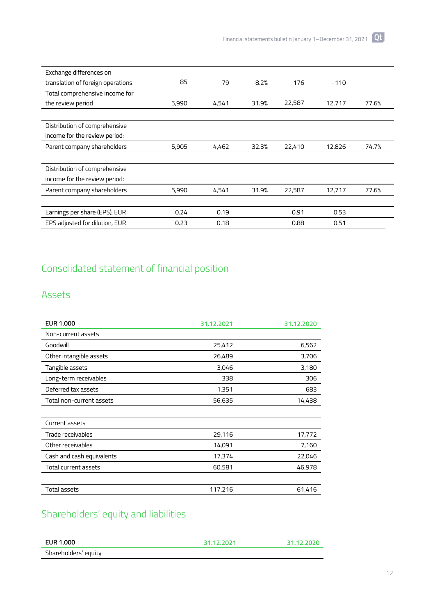| Exchange differences on           |       |       |       |        |        |       |
|-----------------------------------|-------|-------|-------|--------|--------|-------|
| translation of foreign operations | 85    | 79    | 8.2%  | 176    | $-110$ |       |
| Total comprehensive income for    |       |       |       |        |        |       |
| the review period                 | 5,990 | 4,541 | 31.9% | 22,587 | 12,717 | 77.6% |
|                                   |       |       |       |        |        |       |
| Distribution of comprehensive     |       |       |       |        |        |       |
| income for the review period:     |       |       |       |        |        |       |
| Parent company shareholders       | 5,905 | 4,462 | 32.3% | 22,410 | 12,826 | 74.7% |
|                                   |       |       |       |        |        |       |
| Distribution of comprehensive     |       |       |       |        |        |       |
| income for the review period:     |       |       |       |        |        |       |
| Parent company shareholders       | 5,990 | 4,541 | 31.9% | 22,587 | 12,717 | 77.6% |
|                                   |       |       |       |        |        |       |
| Earnings per share (EPS), EUR     | 0.24  | 0.19  |       | 0.91   | 0.53   |       |
| EPS adjusted for dilution, EUR    | 0.23  | 0.18  |       | 0.88   | 0.51   |       |

## Consolidated statement of financial position

## Assets

| <b>EUR 1,000</b>            | 31.12.2021 | 31.12.2020 |
|-----------------------------|------------|------------|
| Non-current assets          |            |            |
| Goodwill                    | 25,412     | 6,562      |
| Other intangible assets     | 26,489     | 3,706      |
| Tangible assets             | 3,046      | 3,180      |
| Long-term receivables       | 338        | 306        |
| Deferred tax assets         | 1,351      | 683        |
| Total non-current assets    | 56,635     | 14,438     |
|                             |            |            |
| Current assets              |            |            |
| Trade receivables           | 29,116     | 17,772     |
| Other receivables           | 14,091     | 7,160      |
| Cash and cash equivalents   | 17,374     | 22,046     |
| <b>Total current assets</b> | 60,581     | 46,978     |
|                             |            |            |
| Total assets                | 117,216    | 61,416     |

# Shareholders' equity and liabilities

| EUR 1,000            | 31.12.2021 | 31.12.2020 |
|----------------------|------------|------------|
| Shareholders' equity |            |            |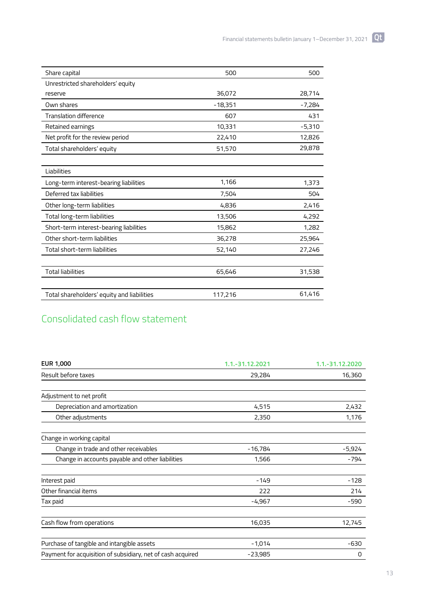| Share capital                              | 500       | 500      |
|--------------------------------------------|-----------|----------|
| Unrestricted shareholders' equity          |           |          |
| reserve                                    | 36,072    | 28,714   |
| Own shares                                 | $-18,351$ | $-7,284$ |
| <b>Translation difference</b>              | 607       | 431      |
| Retained earnings                          | 10,331    | $-5,310$ |
| Net profit for the review period           | 22,410    | 12,826   |
| Total shareholders' equity                 | 51,570    | 29,878   |
|                                            |           |          |
| Liabilities                                |           |          |
| Long-term interest-bearing liabilities     | 1,166     | 1,373    |
| Deferred tax liabilities                   | 7,504     | 504      |
| Other long-term liabilities                | 4,836     | 2,416    |
| Total long-term liabilities                | 13,506    | 4,292    |
| Short-term interest-bearing liabilities    | 15,862    | 1,282    |
| Other short-term liabilities               | 36,278    | 25,964   |
| <b>Total short-term liabilities</b>        | 52,140    | 27,246   |
|                                            |           |          |
| <b>Total liabilities</b>                   | 65,646    | 31,538   |
|                                            |           |          |
| Total shareholders' equity and liabilities | 117,216   | 61,416   |

# Consolidated cash flow statement

| <b>EUR 1,000</b>                                            | 1.1.-31.12.2021 | 1.1.-31.12.2020 |
|-------------------------------------------------------------|-----------------|-----------------|
| Result before taxes                                         | 29,284          | 16,360          |
|                                                             |                 |                 |
| Adjustment to net profit                                    |                 |                 |
| Depreciation and amortization                               | 4,515           | 2,432           |
| Other adjustments                                           | 2,350           | 1,176           |
| Change in working capital                                   |                 |                 |
| Change in trade and other receivables                       | $-16,784$       | $-5,924$        |
| Change in accounts payable and other liabilities            | 1,566           | -794            |
| Interest paid                                               | $-149$          | $-128$          |
| Other financial items                                       | 222             | 214             |
| Tax paid                                                    | $-4,967$        | -590            |
| Cash flow from operations                                   | 16,035          | 12,745          |
|                                                             |                 |                 |
| Purchase of tangible and intangible assets                  | $-1,014$        | $-630$          |
| Payment for acquisition of subsidiary, net of cash acquired | $-23,985$       | 0               |

13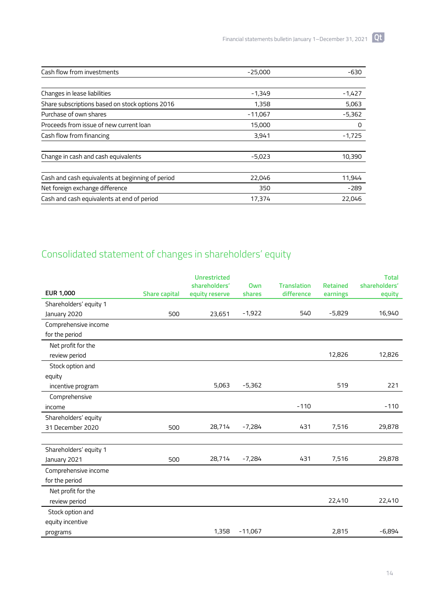| Cash flow from investments                       | $-25,000$ | $-630$   |
|--------------------------------------------------|-----------|----------|
|                                                  |           |          |
| Changes in lease liabilities                     | $-1,349$  | $-1,427$ |
| Share subscriptions based on stock options 2016  | 1,358     | 5,063    |
| Purchase of own shares                           | $-11,067$ | $-5,362$ |
| Proceeds from issue of new current loan          | 15,000    | 0        |
| Cash flow from financing                         | 3,941     | $-1,725$ |
| Change in cash and cash equivalents              | $-5,023$  | 10,390   |
|                                                  |           |          |
| Cash and cash equivalents at beginning of period | 22,046    | 11,944   |
| Net foreign exchange difference                  | 350       | -289     |
| Cash and cash equivalents at end of period       | 17,374    | 22,046   |

# Consolidated statement of changes in shareholders' equity

|                        |                      | <b>Unrestricted</b><br>shareholders' | Own       | <b>Translation</b> | <b>Retained</b> | <b>Total</b><br>shareholders' |
|------------------------|----------------------|--------------------------------------|-----------|--------------------|-----------------|-------------------------------|
| EUR 1,000              | <b>Share capital</b> | equity reserve                       | shares    | difference         | earnings        | equity                        |
| Shareholders' equity 1 |                      |                                      |           |                    |                 |                               |
| January 2020           | 500                  | 23,651                               | $-1,922$  | 540                | $-5,829$        | 16,940                        |
| Comprehensive income   |                      |                                      |           |                    |                 |                               |
| for the period         |                      |                                      |           |                    |                 |                               |
| Net profit for the     |                      |                                      |           |                    |                 |                               |
| review period          |                      |                                      |           |                    | 12,826          | 12,826                        |
| Stock option and       |                      |                                      |           |                    |                 |                               |
| equity                 |                      |                                      |           |                    |                 |                               |
| incentive program      |                      | 5,063                                | $-5,362$  |                    | 519             | 221                           |
| Comprehensive          |                      |                                      |           |                    |                 |                               |
| income                 |                      |                                      |           | $-110$             |                 | $-110$                        |
| Shareholders' equity   |                      |                                      |           |                    |                 |                               |
| 31 December 2020       | 500                  | 28,714                               | $-7,284$  | 431                | 7,516           | 29,878                        |
|                        |                      |                                      |           |                    |                 |                               |
| Shareholders' equity 1 |                      |                                      |           |                    |                 |                               |
| January 2021           | 500                  | 28,714                               | $-7,284$  | 431                | 7,516           | 29,878                        |
| Comprehensive income   |                      |                                      |           |                    |                 |                               |
| for the period         |                      |                                      |           |                    |                 |                               |
| Net profit for the     |                      |                                      |           |                    |                 |                               |
| review period          |                      |                                      |           |                    | 22,410          | 22,410                        |
| Stock option and       |                      |                                      |           |                    |                 |                               |
| equity incentive       |                      |                                      |           |                    |                 |                               |
| programs               |                      | 1,358                                | $-11,067$ |                    | 2,815           | $-6,894$                      |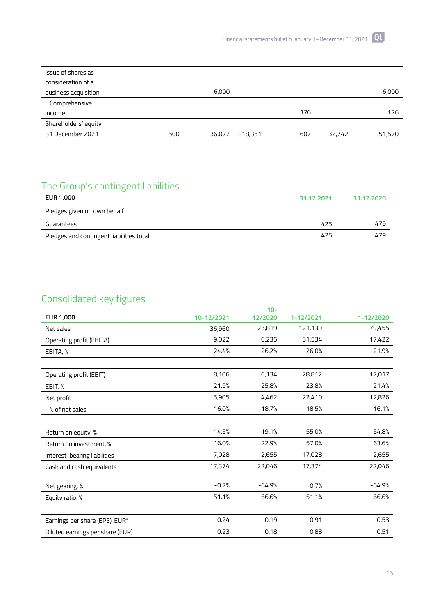| Issue of shares as   |     |                     |     |        |        |
|----------------------|-----|---------------------|-----|--------|--------|
| consideration of a   |     |                     |     |        |        |
| business acquisition |     | 6,000               |     |        | 6,000  |
| Comprehensive        |     |                     |     |        |        |
| income               |     |                     | 176 |        | 176    |
| Shareholders' equity |     |                     |     |        |        |
| 31 December 2021     | 500 | $-18,351$<br>36,072 | 607 | 32,742 | 51,570 |

# The Group's contingent liabilities

| <b>EUR 1,000</b>                         | 31.12.2021 | 31.12.2020 |
|------------------------------------------|------------|------------|
| Pledges given on own behalf              |            |            |
| Guarantees                               | 425        | 479        |
| Pledges and contingent liabilities total | 425        | 479        |

## Consolidated key figures

|                                  |            | $10 -$   |           |           |
|----------------------------------|------------|----------|-----------|-----------|
| <b>EUR 1,000</b>                 | 10-12/2021 | 12/2020  | 1-12/2021 | 1-12/2020 |
| Net sales                        | 36,960     | 23,819   | 121,139   | 79,455    |
| Operating profit (EBITA)         | 9,022      | 6,235    | 31,534    | 17,422    |
| EBITA, %                         | 24.4%      | 26.2%    | 26.0%     | 21.9%     |
|                                  |            |          |           |           |
| Operating profit (EBIT)          | 8,106      | 6,134    | 28,812    | 17,017    |
| EBIT, %                          | 21.9%      | 25.8%    | 23.8%     | 21.4%     |
| Net profit                       | 5,905      | 4,462    | 22,410    | 12,826    |
| - % of net sales                 | 16.0%      | 18.7%    | 18.5%     | 16.1%     |
|                                  |            |          |           |           |
| Return on equity. %              | 14.5%      | 19.1%    | 55.0%     | 54.8%     |
| Return on investment. %          | 16.0%      | 22.9%    | 57.0%     | 63.6%     |
| Interest-bearing liabilities     | 17,028     | 2,655    | 17,028    | 2,655     |
| Cash and cash equivalents        | 17,374     | 22,046   | 17,374    | 22,046    |
|                                  |            |          |           |           |
| Net gearing. %                   | $-0.7%$    | $-64.9%$ | $-0.7%$   | $-64.9%$  |
| Equity ratio. %                  | 51.1%      | 66.6%    | 51.1%     | 66.6%     |
|                                  |            |          |           |           |
| Earnings per share (EPS), EUR*   | 0.24       | 0.19     | 0.91      | 0.53      |
| Diluted earnings per share (EUR) | 0.23       | 0.18     | 0.88      | 0.51      |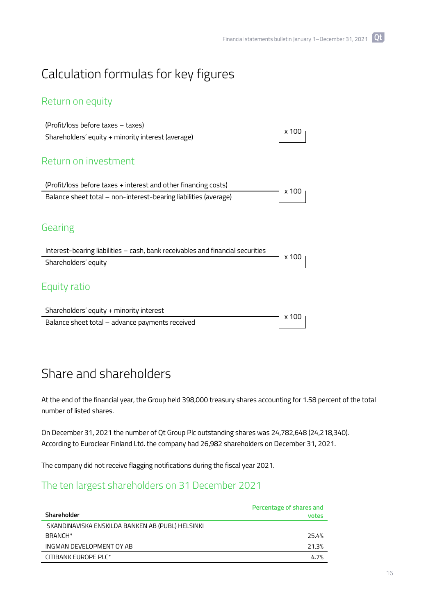# Calculation formulas for key figures

## Return on equity

| (Profit/loss before taxes – taxes)                                             | x 100 |
|--------------------------------------------------------------------------------|-------|
| Shareholders' equity + minority interest (average)                             |       |
|                                                                                |       |
| Return on investment                                                           |       |
|                                                                                |       |
| (Profit/loss before taxes + interest and other financing costs)                |       |
| Balance sheet total – non-interest-bearing liabilities (average)               | x 100 |
|                                                                                |       |
| Gearing                                                                        |       |
| Interest-bearing liabilities - cash, bank receivables and financial securities | x 100 |
| Shareholders' equity                                                           |       |
| Equity ratio                                                                   |       |
| Shareholders' equity + minority interest                                       |       |
| Balance sheet total - advance payments received                                | x 100 |
|                                                                                |       |

# Share and shareholders

At the end of the financial year, the Group held 398,000 treasury shares accounting for 1.58 percent of the total number of listed shares.

On December 31, 2021 the number of Qt Group Plc outstanding shares was 24,782,648 (24,218,340). According to Euroclear Finland Ltd. the company had 26,982 shareholders on December 31, 2021.

The company did not receive flagging notifications during the fiscal year 2021.

## The ten largest shareholders on 31 December 2021

|                                                  | Percentage of shares and |
|--------------------------------------------------|--------------------------|
| Shareholder                                      | votes                    |
| SKANDINAVISKA ENSKILDA BANKEN AB (PUBL) HELSINKI |                          |
| BRANCH*                                          | 25.4%                    |
| INGMAN DEVELOPMENT OY AB                         | 21.3%                    |
| CITIBANK EUROPE PLC*                             | 4.7%                     |